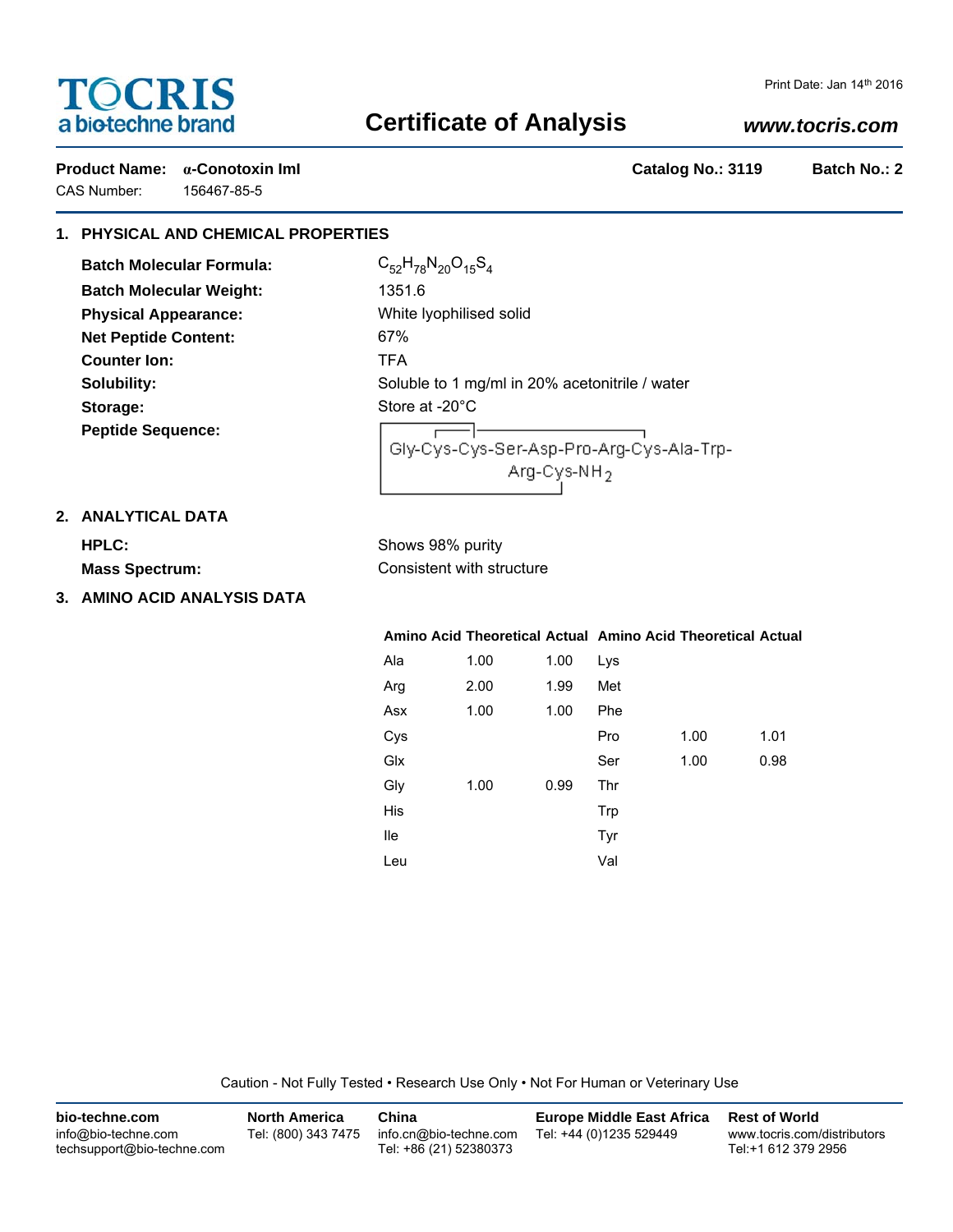# **TOCRIS** a biotechne brand

CAS Number: 156467-85-5

# **Certificate of Analysis**

# *www.tocris.com*

**Product Name: α-Conotoxin ImI Catalog No.: 3119 Batch No.: 2**

# **1. PHYSICAL AND CHEMICAL PROPERTIES**

**Batch Molecular Formula:** C<sub>52</sub>H<sub>78</sub>N<sub>20</sub>O<sub>15</sub>S<sub>4</sub> **Batch Molecular Weight:** 1351.6 **Physical Appearance:** White lyophilised solid **Net Peptide Content:** 67% **Counter Ion:** TFA Storage: Storage: Store at -20°C **Peptide Sequence:**

**Solubility:** Soluble to 1 mg/ml in 20% acetonitrile / water

ㅡ-Gly-Cys-Cys-Ser-Asp-Pro-Arg-Cys-Ala-Trp- $Arg-Cys-NH<sub>2</sub>$ 

## **2. ANALYTICAL DATA**

**HPLC:** Shows 98% purity **Mass Spectrum:** Consistent with structure

**3. AMINO ACID ANALYSIS DATA**

### **Amino Acid Theoretical Actual Amino Acid Theoretical Actual**

| Ala | 1.00 | 1.00 | Lys |      |      |
|-----|------|------|-----|------|------|
| Arg | 2.00 | 1.99 | Met |      |      |
| Asx | 1.00 | 1.00 | Phe |      |      |
| Cys |      |      | Pro | 1.00 | 1.01 |
| Glx |      |      | Ser | 1.00 | 0.98 |
| Gly | 1.00 | 0.99 | Thr |      |      |
| His |      |      | Trp |      |      |
| lle |      |      | Tyr |      |      |
| Leu |      |      | Val |      |      |

Caution - Not Fully Tested • Research Use Only • Not For Human or Veterinary Use

| bio-techne.com                                    | <b>North America</b> | China                                            | Europe Middle East Africa | <b>Rest of World</b>                               |
|---------------------------------------------------|----------------------|--------------------------------------------------|---------------------------|----------------------------------------------------|
| info@bio-techne.com<br>techsupport@bio-techne.com | Tel: (800) 343 7475  | info.cn@bio-techne.com<br>Tel: +86 (21) 52380373 | Tel: +44 (0)1235 529449   | www.tocris.com/distributors<br>Tel:+1 612 379 2956 |